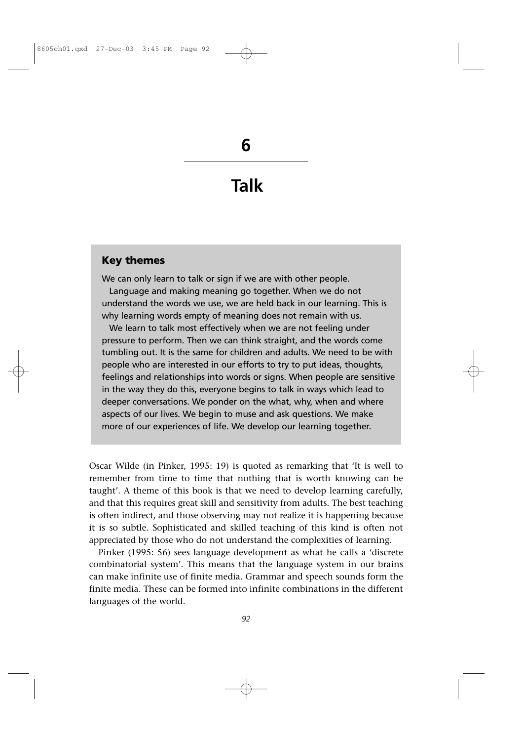**Talk**

### **Key themes**

We can only learn to talk or sign if we are with other people. Language and making meaning go together. When we do not understand the words we use, we are held back in our learning. This is why learning words empty of meaning does not remain with us.

We learn to talk most effectively when we are not feeling under pressure to perform. Then we can think straight, and the words come tumbling out. It is the same for children and adults. We need to be with people who are interested in our efforts to try to put ideas, thoughts, feelings and relationships into words or signs. When people are sensitive in the way they do this, everyone begins to talk in ways which lead to deeper conversations. We ponder on the what, why, when and where aspects of our lives. We begin to muse and ask questions. We make more of our experiences of life. We develop our learning together.

Oscar Wilde (in Pinker, 1995: 19) is quoted as remarking that 'It is well to remember from time to time that nothing that is worth knowing can be taught'. A theme of this book is that we need to develop learning carefully, and that this requires great skill and sensitivity from adults. The best teaching is often indirect, and those observing may not realize it is happening because it is so subtle. Sophisticated and skilled teaching of this kind is often not appreciated by those who do not understand the complexities of learning.

Pinker (1995: 56) sees language development as what he calls a 'discrete combinatorial system'. This means that the language system in our brains can make infinite use of finite media. Grammar and speech sounds form the finite media. These can be formed into infinite combinations in the different languages of the world.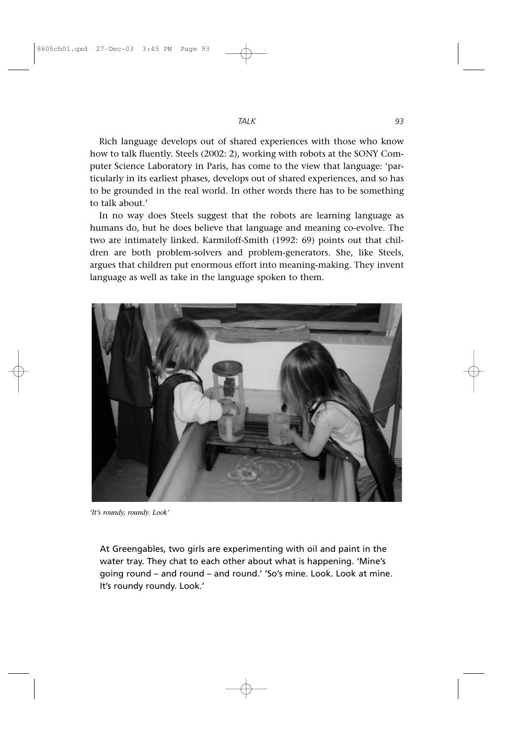Rich language develops out of shared experiences with those who know how to talk fluently. Steels (2002: 2), working with robots at the SONY Computer Science Laboratory in Paris, has come to the view that language: 'particularly in its earliest phases, develops out of shared experiences, and so has to be grounded in the real world. In other words there has to be something to talk about.'

In no way does Steels suggest that the robots are learning language as humans do, but he does believe that language and meaning co-evolve. The two are intimately linked. Karmiloff-Smith (1992: 69) points out that children are both problem-solvers and problem-generators. She, like Steels, argues that children put enormous effort into meaning-making. They invent language as well as take in the language spoken to them.



*'It's roundy, roundy. Look'*

At Greengables, two girls are experimenting with oil and paint in the water tray. They chat to each other about what is happening. 'Mine's going round – and round – and round.' 'So's mine. Look. Look at mine. It's roundy roundy. Look.'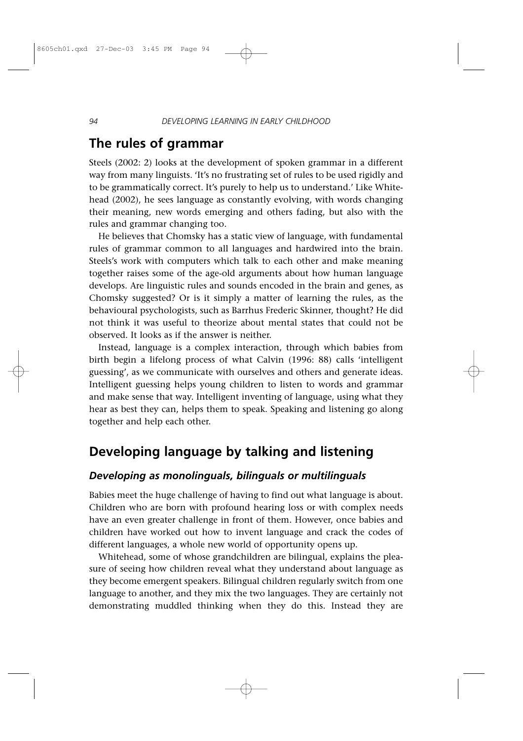## **The rules of grammar**

Steels (2002: 2) looks at the development of spoken grammar in a different way from many linguists. 'It's no frustrating set of rules to be used rigidly and to be grammatically correct. It's purely to help us to understand.' Like Whitehead (2002), he sees language as constantly evolving, with words changing their meaning, new words emerging and others fading, but also with the rules and grammar changing too.

He believes that Chomsky has a static view of language, with fundamental rules of grammar common to all languages and hardwired into the brain. Steels's work with computers which talk to each other and make meaning together raises some of the age-old arguments about how human language develops. Are linguistic rules and sounds encoded in the brain and genes, as Chomsky suggested? Or is it simply a matter of learning the rules, as the behavioural psychologists, such as Barrhus Frederic Skinner, thought? He did not think it was useful to theorize about mental states that could not be observed. It looks as if the answer is neither.

Instead, language is a complex interaction, through which babies from birth begin a lifelong process of what Calvin (1996: 88) calls 'intelligent guessing', as we communicate with ourselves and others and generate ideas. Intelligent guessing helps young children to listen to words and grammar and make sense that way. Intelligent inventing of language, using what they hear as best they can, helps them to speak. Speaking and listening go along together and help each other.

# **Developing language by talking and listening**

#### *Developing as monolinguals, bilinguals or multilinguals*

Babies meet the huge challenge of having to find out what language is about. Children who are born with profound hearing loss or with complex needs have an even greater challenge in front of them. However, once babies and children have worked out how to invent language and crack the codes of different languages, a whole new world of opportunity opens up.

Whitehead, some of whose grandchildren are bilingual, explains the pleasure of seeing how children reveal what they understand about language as they become emergent speakers. Bilingual children regularly switch from one language to another, and they mix the two languages. They are certainly not demonstrating muddled thinking when they do this. Instead they are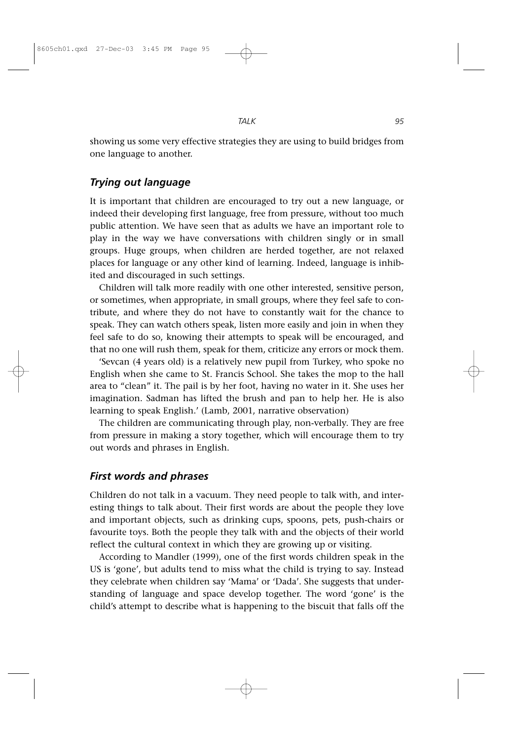*TALK 95*

showing us some very effective strategies they are using to build bridges from one language to another.

### *Trying out language*

It is important that children are encouraged to try out a new language, or indeed their developing first language, free from pressure, without too much public attention. We have seen that as adults we have an important role to play in the way we have conversations with children singly or in small groups. Huge groups, when children are herded together, are not relaxed places for language or any other kind of learning. Indeed, language is inhibited and discouraged in such settings.

Children will talk more readily with one other interested, sensitive person, or sometimes, when appropriate, in small groups, where they feel safe to contribute, and where they do not have to constantly wait for the chance to speak. They can watch others speak, listen more easily and join in when they feel safe to do so, knowing their attempts to speak will be encouraged, and that no one will rush them, speak for them, criticize any errors or mock them.

'Sevcan (4 years old) is a relatively new pupil from Turkey, who spoke no English when she came to St. Francis School. She takes the mop to the hall area to "clean" it. The pail is by her foot, having no water in it. She uses her imagination. Sadman has lifted the brush and pan to help her. He is also learning to speak English.' (Lamb, 2001, narrative observation)

The children are communicating through play, non-verbally. They are free from pressure in making a story together, which will encourage them to try out words and phrases in English.

### *First words and phrases*

Children do not talk in a vacuum. They need people to talk with, and interesting things to talk about. Their first words are about the people they love and important objects, such as drinking cups, spoons, pets, push-chairs or favourite toys. Both the people they talk with and the objects of their world reflect the cultural context in which they are growing up or visiting.

According to Mandler (1999), one of the first words children speak in the US is 'gone', but adults tend to miss what the child is trying to say. Instead they celebrate when children say 'Mama' or 'Dada'. She suggests that understanding of language and space develop together. The word 'gone' is the child's attempt to describe what is happening to the biscuit that falls off the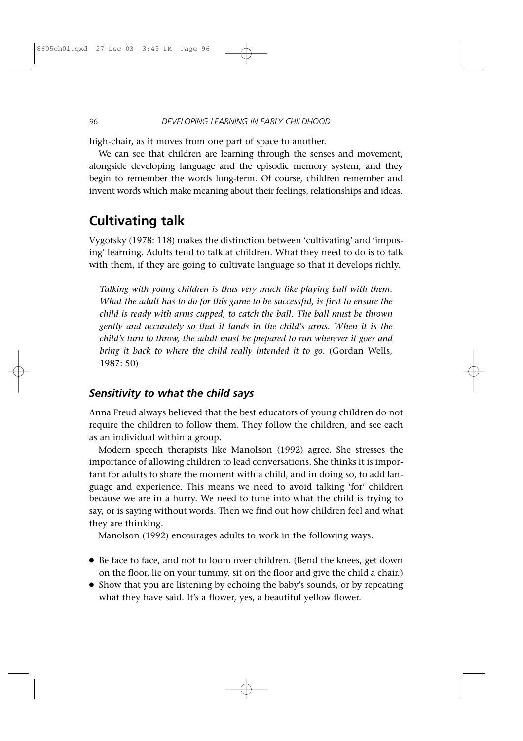high-chair, as it moves from one part of space to another.

We can see that children are learning through the senses and movement, alongside developing language and the episodic memory system, and they begin to remember the words long-term. Of course, children remember and invent words which make meaning about their feelings, relationships and ideas.

# **Cultivating talk**

Vygotsky (1978: 118) makes the distinction between 'cultivating' and 'imposing' learning. Adults tend to talk at children. What they need to do is to talk with them, if they are going to cultivate language so that it develops richly.

*Talking with young children is thus very much like playing ball with them. What the adult has to do for this game to be successful, is first to ensure the child is ready with arms cupped, to catch the ball. The ball must be thrown gently and accurately so that it lands in the child's arms. When it is the child's turn to throw, the adult must be prepared to run wherever it goes and bring it back to where the child really intended it to go.* (Gordan Wells, 1987: 50)

### *Sensitivity to what the child says*

Anna Freud always believed that the best educators of young children do not require the children to follow them. They follow the children, and see each as an individual within a group.

Modern speech therapists like Manolson (1992) agree. She stresses the importance of allowing children to lead conversations. She thinks it is important for adults to share the moment with a child, and in doing so, to add language and experience. This means we need to avoid talking 'for' children because we are in a hurry. We need to tune into what the child is trying to say, or is saying without words. Then we find out how children feel and what they are thinking.

Manolson (1992) encourages adults to work in the following ways.

- Be face to face, and not to loom over children. (Bend the knees, get down on the floor, lie on your tummy, sit on the floor and give the child a chair.)
- Show that you are listening by echoing the baby's sounds, or by repeating what they have said. It's a flower, yes, a beautiful yellow flower.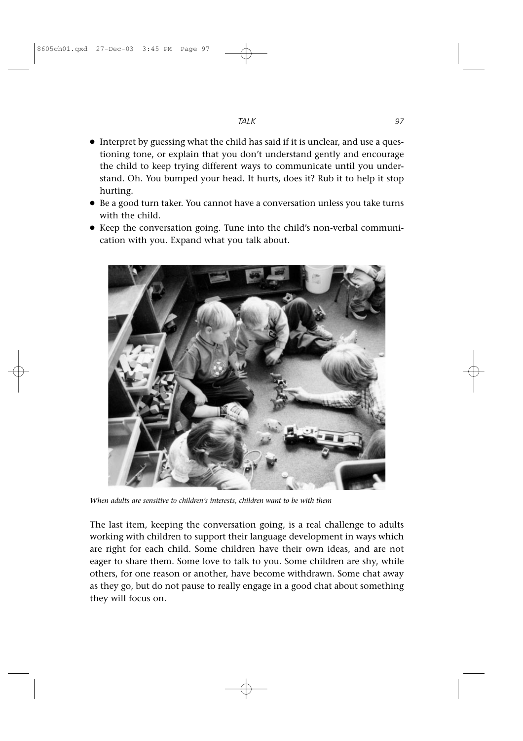- Interpret by guessing what the child has said if it is unclear, and use a questioning tone, or explain that you don't understand gently and encourage the child to keep trying different ways to communicate until you understand. Oh. You bumped your head. It hurts, does it? Rub it to help it stop hurting.
- Be a good turn taker. You cannot have a conversation unless you take turns with the child.
- Keep the conversation going. Tune into the child's non-verbal communication with you. Expand what you talk about.



*When adults are sensitive to children's interests, children want to be with them*

The last item, keeping the conversation going, is a real challenge to adults working with children to support their language development in ways which are right for each child. Some children have their own ideas, and are not eager to share them. Some love to talk to you. Some children are shy, while others, for one reason or another, have become withdrawn. Some chat away as they go, but do not pause to really engage in a good chat about something they will focus on.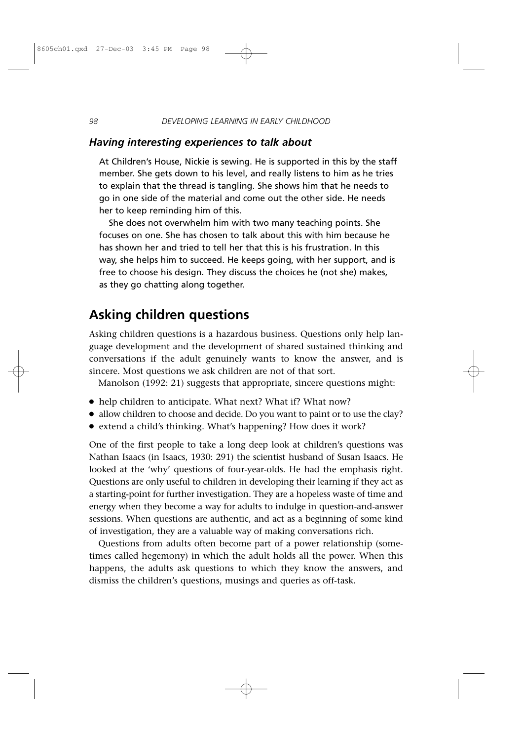#### *Having interesting experiences to talk about*

At Children's House, Nickie is sewing. He is supported in this by the staff member. She gets down to his level, and really listens to him as he tries to explain that the thread is tangling. She shows him that he needs to go in one side of the material and come out the other side. He needs her to keep reminding him of this.

She does not overwhelm him with two many teaching points. She focuses on one. She has chosen to talk about this with him because he has shown her and tried to tell her that this is his frustration. In this way, she helps him to succeed. He keeps going, with her support, and is free to choose his design. They discuss the choices he (not she) makes, as they go chatting along together.

## **Asking children questions**

Asking children questions is a hazardous business. Questions only help language development and the development of shared sustained thinking and conversations if the adult genuinely wants to know the answer, and is sincere. Most questions we ask children are not of that sort.

Manolson (1992: 21) suggests that appropriate, sincere questions might:

- help children to anticipate. What next? What if? What now?
- allow children to choose and decide. Do you want to paint or to use the clay?
- extend a child's thinking. What's happening? How does it work?

One of the first people to take a long deep look at children's questions was Nathan Isaacs (in Isaacs, 1930: 291) the scientist husband of Susan Isaacs. He looked at the 'why' questions of four-year-olds. He had the emphasis right. Questions are only useful to children in developing their learning if they act as a starting-point for further investigation. They are a hopeless waste of time and energy when they become a way for adults to indulge in question-and-answer sessions. When questions are authentic, and act as a beginning of some kind of investigation, they are a valuable way of making conversations rich.

Questions from adults often become part of a power relationship (sometimes called hegemony) in which the adult holds all the power. When this happens, the adults ask questions to which they know the answers, and dismiss the children's questions, musings and queries as off-task.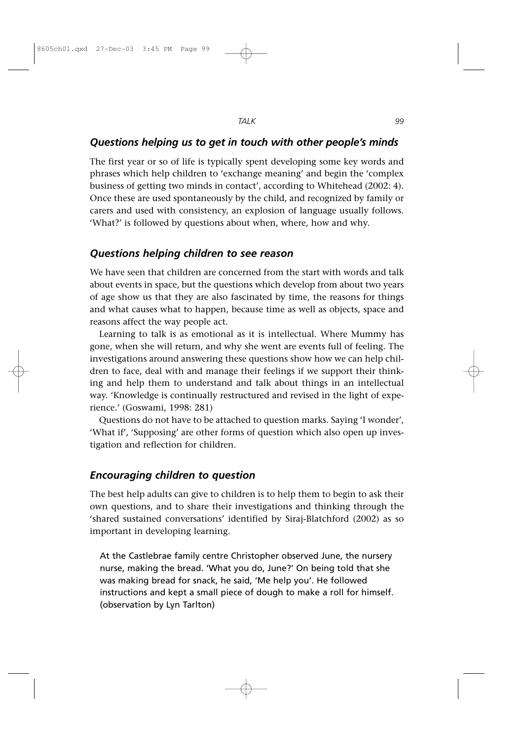### *Questions helping us to get in touch with other people's minds*

The first year or so of life is typically spent developing some key words and phrases which help children to 'exchange meaning' and begin the 'complex business of getting two minds in contact', according to Whitehead (2002: 4). Once these are used spontaneously by the child, and recognized by family or carers and used with consistency, an explosion of language usually follows. 'What?' is followed by questions about when, where, how and why.

#### *Questions helping children to see reason*

We have seen that children are concerned from the start with words and talk about events in space, but the questions which develop from about two years of age show us that they are also fascinated by time, the reasons for things and what causes what to happen, because time as well as objects, space and reasons affect the way people act.

Learning to talk is as emotional as it is intellectual. Where Mummy has gone, when she will return, and why she went are events full of feeling. The investigations around answering these questions show how we can help children to face, deal with and manage their feelings if we support their thinking and help them to understand and talk about things in an intellectual way. 'Knowledge is continually restructured and revised in the light of experience.' (Goswami, 1998: 281)

Questions do not have to be attached to question marks. Saying 'I wonder', 'What if', 'Supposing' are other forms of question which also open up investigation and reflection for children.

### *Encouraging children to question*

The best help adults can give to children is to help them to begin to ask their own questions, and to share their investigations and thinking through the 'shared sustained conversations' identified by Siraj-Blatchford (2002) as so important in developing learning.

At the Castlebrae family centre Christopher observed June, the nursery nurse, making the bread. 'What you do, June?' On being told that she was making bread for snack, he said, 'Me help you'. He followed instructions and kept a small piece of dough to make a roll for himself. (observation by Lyn Tarlton)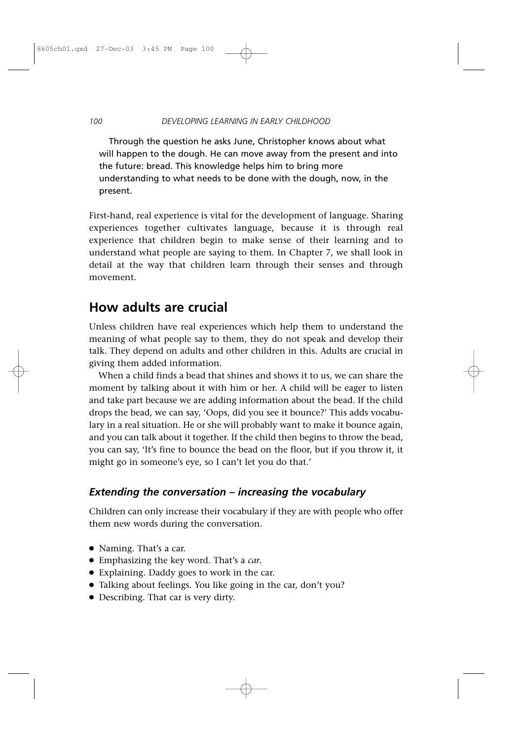Through the question he asks June, Christopher knows about what will happen to the dough. He can move away from the present and into the future: bread. This knowledge helps him to bring more understanding to what needs to be done with the dough, now, in the present.

First-hand, real experience is vital for the development of language. Sharing experiences together cultivates language, because it is through real experience that children begin to make sense of their learning and to understand what people are saying to them. In Chapter 7, we shall look in detail at the way that children learn through their senses and through movement.

# **How adults are crucial**

Unless children have real experiences which help them to understand the meaning of what people say to them, they do not speak and develop their talk. They depend on adults and other children in this. Adults are crucial in giving them added information.

When a child finds a bead that shines and shows it to us, we can share the moment by talking about it with him or her. A child will be eager to listen and take part because we are adding information about the bead. If the child drops the bead, we can say, 'Oops, did you see it bounce?' This adds vocabulary in a real situation. He or she will probably want to make it bounce again, and you can talk about it together. If the child then begins to throw the bead, you can say, 'It's fine to bounce the bead on the floor, but if you throw it, it might go in someone's eye, so I can't let you do that.'

## *Extending the conversation – increasing the vocabulary*

Children can only increase their vocabulary if they are with people who offer them new words during the conversation.

- Naming. That's a car.
- Emphasizing the key word. That's a *car*.
- Explaining. Daddy goes to work in the car.
- Talking about feelings. You like going in the car, don't you?
- Describing. That car is very dirty.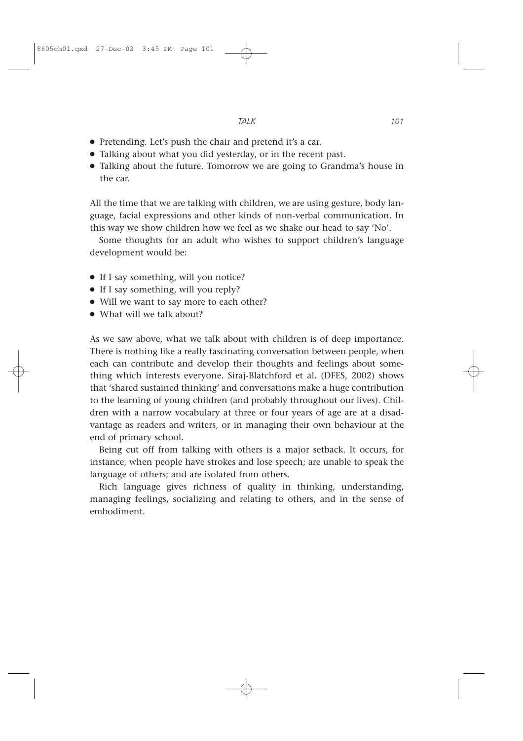- Pretending. Let's push the chair and pretend it's a car.
- Talking about what you did yesterday, or in the recent past.
- Talking about the future. Tomorrow we are going to Grandma's house in the car.

All the time that we are talking with children, we are using gesture, body language, facial expressions and other kinds of non-verbal communication. In this way we show children how we feel as we shake our head to say 'No'.

Some thoughts for an adult who wishes to support children's language development would be:

- If I say something, will you notice?
- If I say something, will you reply?
- Will we want to say more to each other?
- What will we talk about?

As we saw above, what we talk about with children is of deep importance. There is nothing like a really fascinating conversation between people, when each can contribute and develop their thoughts and feelings about something which interests everyone. Siraj-Blatchford et al. (DFES, 2002) shows that 'shared sustained thinking' and conversations make a huge contribution to the learning of young children (and probably throughout our lives). Children with a narrow vocabulary at three or four years of age are at a disadvantage as readers and writers, or in managing their own behaviour at the end of primary school.

Being cut off from talking with others is a major setback. It occurs, for instance, when people have strokes and lose speech; are unable to speak the language of others; and are isolated from others.

Rich language gives richness of quality in thinking, understanding, managing feelings, socializing and relating to others, and in the sense of embodiment.